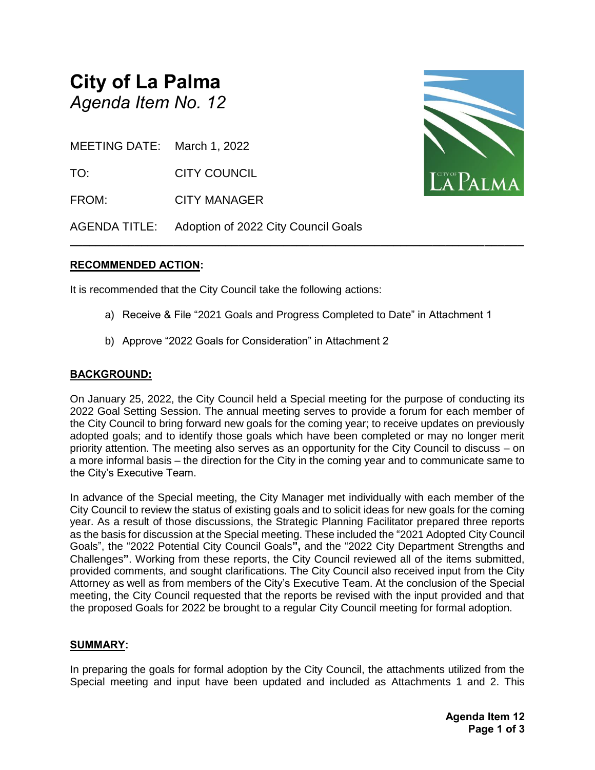## **City of La Palma** *Agenda Item No. 12*

MEETING DATE: March 1, 2022

TO: CITY COUNCIL

FROM: CITY MANAGER

AGENDA TITLE: Adoption of 2022 City Council Goals

#### **RECOMMENDED ACTION:**

It is recommended that the City Council take the following actions:

a) Receive & File "2021 Goals and Progress Completed to Date" in Attachment 1

**\_\_\_\_\_\_\_\_\_\_\_\_\_\_\_\_\_\_\_\_\_\_\_\_\_\_\_\_\_\_\_\_\_\_\_\_\_\_\_\_\_\_\_\_\_\_\_\_\_\_\_\_\_\_\_\_\_\_\_\_\_\_\_\_\_\_\_\_\_\_**

b) Approve "2022 Goals for Consideration" in Attachment 2

#### **BACKGROUND:**

On January 25, 2022, the City Council held a Special meeting for the purpose of conducting its 2022 Goal Setting Session. The annual meeting serves to provide a forum for each member of the City Council to bring forward new goals for the coming year; to receive updates on previously adopted goals; and to identify those goals which have been completed or may no longer merit priority attention. The meeting also serves as an opportunity for the City Council to discuss – on a more informal basis – the direction for the City in the coming year and to communicate same to the City's Executive Team.

In advance of the Special meeting, the City Manager met individually with each member of the City Council to review the status of existing goals and to solicit ideas for new goals for the coming year. As a result of those discussions, the Strategic Planning Facilitator prepared three reports as the basis for discussion at the Special meeting. These included the "2021 Adopted City Council Goals", the "2022 Potential City Council Goals**",** and the "2022 City Department Strengths and Challenges**"**. Working from these reports, the City Council reviewed all of the items submitted, provided comments, and sought clarifications. The City Council also received input from the City Attorney as well as from members of the City's Executive Team. At the conclusion of the Special meeting, the City Council requested that the reports be revised with the input provided and that the proposed Goals for 2022 be brought to a regular City Council meeting for formal adoption.

#### **SUMMARY:**

In preparing the goals for formal adoption by the City Council, the attachments utilized from the Special meeting and input have been updated and included as Attachments 1 and 2. This

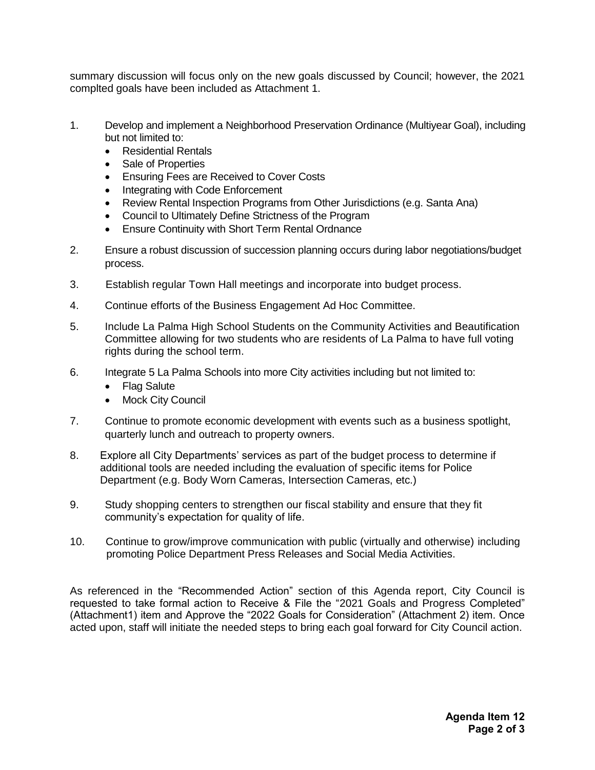summary discussion will focus only on the new goals discussed by Council; however, the 2021 complted goals have been included as Attachment 1.

- 1. Develop and implement a Neighborhood Preservation Ordinance (Multiyear Goal), including but not limited to:
	- Residential Rentals
	- Sale of Properties
	- Ensuring Fees are Received to Cover Costs
	- Integrating with Code Enforcement
	- Review Rental Inspection Programs from Other Jurisdictions (e.g. Santa Ana)
	- Council to Ultimately Define Strictness of the Program
	- Ensure Continuity with Short Term Rental Ordnance
- 2. Ensure a robust discussion of succession planning occurs during labor negotiations/budget process.
- 3. Establish regular Town Hall meetings and incorporate into budget process.
- 4. Continue efforts of the Business Engagement Ad Hoc Committee.
- 5. Include La Palma High School Students on the Community Activities and Beautification Committee allowing for two students who are residents of La Palma to have full voting rights during the school term.
- 6. Integrate 5 La Palma Schools into more City activities including but not limited to:
	- Flag Salute
	- Mock City Council
- 7. Continue to promote economic development with events such as a business spotlight, quarterly lunch and outreach to property owners.
- 8. Explore all City Departments' services as part of the budget process to determine if additional tools are needed including the evaluation of specific items for Police Department (e.g. Body Worn Cameras, Intersection Cameras, etc.)
- 9. Study shopping centers to strengthen our fiscal stability and ensure that they fit community's expectation for quality of life.
- 10. Continue to grow/improve communication with public (virtually and otherwise) including promoting Police Department Press Releases and Social Media Activities.

As referenced in the "Recommended Action" section of this Agenda report, City Council is requested to take formal action to Receive & File the "2021 Goals and Progress Completed" (Attachment1) item and Approve the "2022 Goals for Consideration" (Attachment 2) item. Once acted upon, staff will initiate the needed steps to bring each goal forward for City Council action.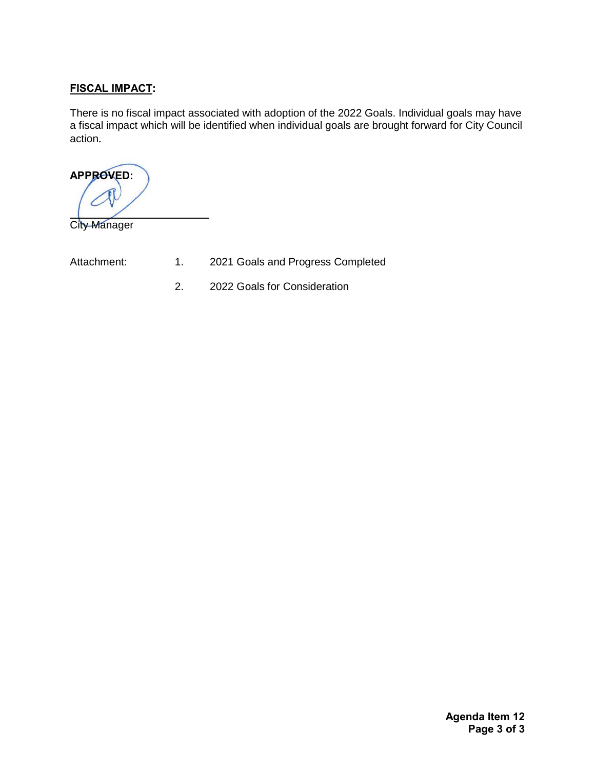#### **FISCAL IMPACT:**

There is no fiscal impact associated with adoption of the 2022 Goals. Individual goals may have a fiscal impact which will be identified when individual goals are brought forward for City Council action.

**APPROVED:** 

City Manager

- Attachment: 1. 2021 Goals and Progress Completed
	- 2. 2022 Goals for Consideration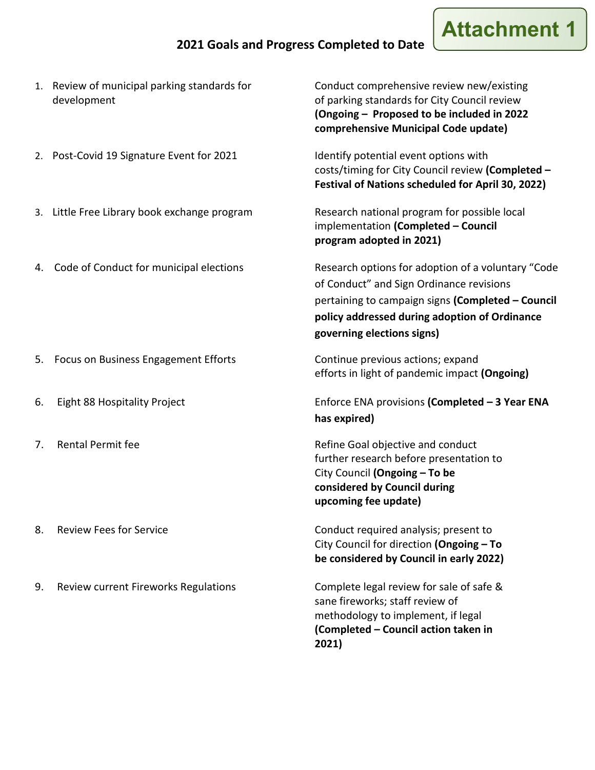### **2021 Goals and Progress Completed to Date**

# **Attachmen**

- 1. Review of municipal parking standards for Conduct comprehensive review new/existing
- 2. Post-Covid 19 Signature Event for 2021 Identify potential event options with
- 3. Little Free Library book exchange program Research national program for possible local
- 

- 5. Focus on Business Engagement Efforts **Continue previous actions**; expand
- 
- 
- 
- 9. Review current Fireworks Regulations Complete legal review for sale of safe &

development of parking standards for City Council review **(Ongoing – Proposed to be included in 2022 comprehensive Municipal Code update)**

> costs/timing for City Council review **(Completed – Festival of Nations scheduled for April 30, 2022)**

implementation **(Completed – Council program adopted in 2021)**

4. Code of Conduct for municipal elections Research options for adoption of a voluntary "Code of Conduct" and Sign Ordinance revisions pertaining to campaign signs **(Completed – Council policy addressed during adoption of Ordinance governing elections signs)**

efforts in light of pandemic impact **(Ongoing)**

6. Eight 88 Hospitality Project Enforce ENA provisions **(Completed – 3 Year ENA has expired)**

7. Rental Permit fee **Refine Goal objective and conduct** further research before presentation to City Council **(Ongoing – To be considered by Council during upcoming fee update)**

8. Review Fees for Service Conduct required analysis; present to City Council for direction **(Ongoing – To be considered by Council in early 2022)**

> sane fireworks; staff review of methodology to implement, if legal **(Completed – Council action taken in 2021)**